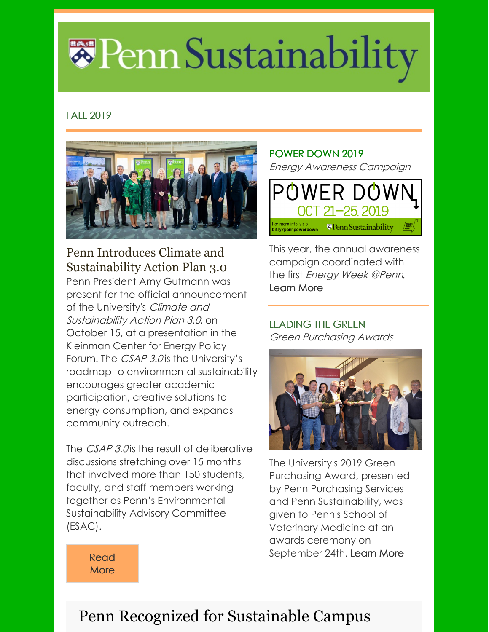# \*Penn Sustainability

#### FALL 2019



### Penn Introduces Climate and Sustainability Action Plan 3.0

Penn President Amy Gutmann was present for the official announcement of the University's Climate and Sustainability Action Plan 3.0, on October 15, at a presentation in the Kleinman Center for Energy Policy Forum. The *CSAP 3.0* is the University's roadmap to environmental sustainability encourages greater academic participation, creative solutions to energy consumption, and expands community outreach.

The *CSAP 3.0* is the result of deliberative discussions stretching over 15 months that involved more than 150 students, faculty, and staff members working together as Penn's Environmental Sustainability Advisory Committee (ESAC).

#### POWER DOWN 2019 Energy Awareness Campaign



This year, the annual awareness campaign coordinated with the first Energy Week @Penn. [Learn](https://www.sustainability.upenn.edu/news/power-down-pairs-energy-week-penn) More

#### LEADING THE GREEN Green Purchasing Awards



The University's 2019 Green Purchasing Award, presented by Penn Purchasing Services and Penn Sustainability, was given to Penn's School of Veterinary Medicine at an awards ceremony on September 24th. [Learn](https://cms.business-services.upenn.edu/purchasing/sustainable-purchasing/green-purchasing-awards.html) More

[Read](https://penntoday.upenn.edu/news/craig-carnaroli-climate-action-plan-university-council-penn?utm_source=Primary&utm_campaign=7f59d663c0-EMAIL_CAMPAIGN_2019_09_26_04_19_COPY_01&utm_medium=email&utm_term=0_3777f2ca8f-7f59d663c0-43824917) **More** 

# Penn Recognized for Sustainable Campus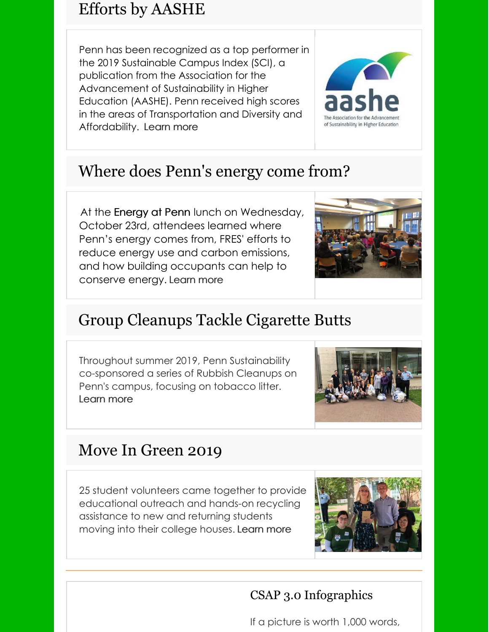## Efforts by AASHE

Penn has been recognized as a top performer in the 2019 Sustainable Campus Index (SCI), a publication from the Association for the Advancement of Sustainability in Higher Education (AASHE). Penn received high scores in the areas of Transportation and Diversity and Affordability. [Learn](https://www.sustainability.upenn.edu/news/penn-once-again-recognized-top-performing-university-aashe) more



# Where does Penn's energy come from?

At the Energy at Penn lunch on Wednesday, October 23rd, attendees learned where Penn's energy comes from, FRES' efforts to reduce energy use and carbon emissions, and how building occupants can help to conserve energy. [Learn](https://www.sustainability.upenn.edu/news/energy-penn-lunch-session) more



# Group Cleanups Tackle Cigarette Butts

Throughout summer 2019, Penn Sustainability co-sponsored a series of Rubbish Cleanups on Penn's campus, focusing on tobacco litter. [Learn](https://www.sustainability.upenn.edu/news/cigarette-butt-clean-volunteer-opportunities) more



## Move In Green 2019

25 student volunteers came together to provide educational outreach and hands-on recycling assistance to new and returning students moving into their college houses. [Learn](https://www.sustainability.upenn.edu/news/move-green-2019) more



#### CSAP 3.0 Infographics

If a picture is worth 1,000 words,